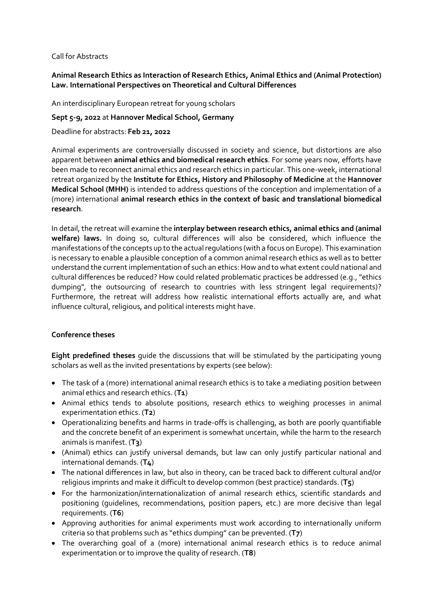#### Call for Abstracts

## **Animal Research Ethics as Interaction of Research Ethics, Animal Ethics and (Animal Protection) Law. International Perspectives on Theoretical and Cultural Differences**

An interdisciplinary European retreat for young scholars

#### **Sept 5-9, 2022** at **Hannover Medical School, Germany**

Deadline for abstracts: **Feb 21, 2022**

Animal experiments are controversially discussed in society and science, but distortions are also apparent between **animal ethics and biomedical research ethics**. For some years now, efforts have been made to reconnect animal ethics and research ethics in particular. This one-week, international retreat organized by the **Institute for Ethics, History and Philosophy of Medicine** at the **Hannover Medical School (MHH)** is intended to address questions of the conception and implementation of a (more) international **animal research ethics in the context of basic and translational biomedical research**.

In detail, the retreat will examine the **interplay between research ethics, animal ethics and (animal welfare) laws.** In doing so, cultural differences will also be considered, which influence the manifestations of the concepts up to the actual regulations (with a focus on Europe). This examination is necessary to enable a plausible conception of a common animal research ethics as well as to better understand the current implementation of such an ethics: How and to what extent could national and cultural differences be reduced? How could related problematic practices be addressed (e.g., "ethics dumping", the outsourcing of research to countries with less stringent legal requirements)? Furthermore, the retreat will address how realistic international efforts actually are, and what influence cultural, religious, and political interests might have.

## **Conference theses**

**Eight predefined theses** guide the discussions that will be stimulated by the participating young scholars as well as the invited presentations by experts (see below):

- The task of a (more) international animal research ethics is to take a mediating position between animal ethics and research ethics. (**T1**)
- Animal ethics tends to absolute positions, research ethics to weighing processes in animal experimentation ethics. (**T2**)
- Operationalizing benefits and harms in trade-offs is challenging, as both are poorly quantifiable and the concrete benefit of an experiment is somewhat uncertain, while the harm to the research animals is manifest. (**T3**)
- (Animal) ethics can justify universal demands, but law can only justify particular national and international demands. (**T4**)
- The national differences in law, but also in theory, can be traced back to different cultural and/or religious imprints and make it difficult to develop common (best practice) standards. (**T5**)
- For the harmonization/internationalization of animal research ethics, scientific standards and positioning (guidelines, recommendations, position papers, etc.) are more decisive than legal requirements. (**T6**)
- Approving authorities for animal experiments must work according to internationally uniform criteria so that problems such as "ethics dumping" can be prevented. (**T7**)
- The overarching goal of a (more) international animal research ethics is to reduce animal experimentation or to improve the quality of research. (**T8**)